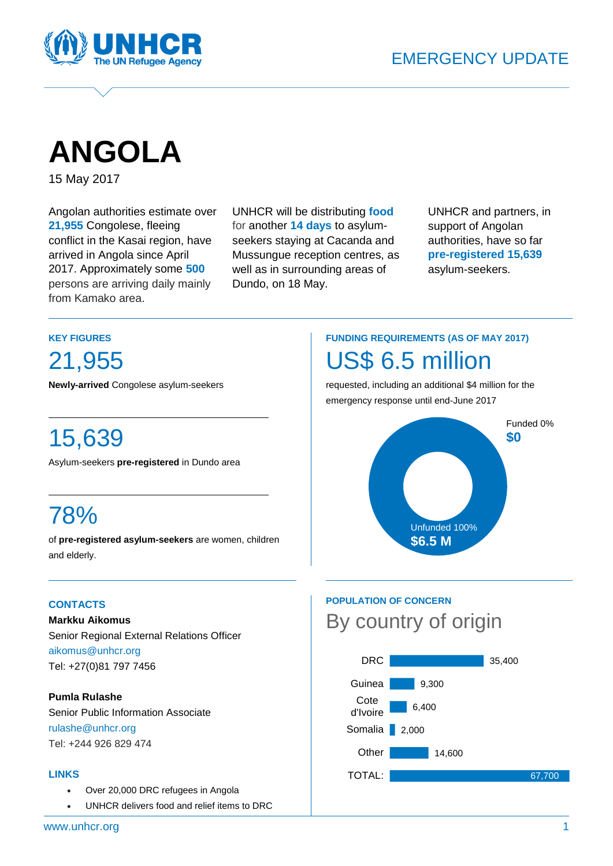

# **ANGOLA**

15 May 2017

Angolan authorities estimate over **21,955** Congolese, fleeing conflict in the Kasai region, have arrived in Angola since April 2017. Approximately some **500** persons are arriving daily mainly from Kamako area.

UNHCR will be distributing **food** for another **14 days** to asylumseekers staying at Cacanda and Mussungue reception centres, as well as in surrounding areas of Dundo, on 18 May.

UNHCR and partners, in support of Angolan authorities, have so far **pre-registered 15,639** asylum-seekers.

#### **KEY FIGURES**

21,955

**Newly-arrived** Congolese asylum-seekers

# 15,639

Asylum-seekers **pre-registered** in Dundo area

# 78%

of **pre-registered asylum-seekers** are women, children and elderly.

#### **CONTACTS**

**Markku Aikomus** Senior Regional External Relations Officer [aikomus@unhcr.org](mailto:aikomus@unhcr.org) Tel: +27(0)81 797 7456

#### **Pumla Rulashe**

Senior Public Information Associate [rulashe@unhcr.org](mailto:rulashe@unhcr.org) Tel: +244 926 829 474

#### **LINKS**

- [Over 20,000 DRC refugees in Angola](http://www.unhcr.org/afr/news/briefing/2017/5/591571ed4/update-20000-drc-refugees-angola.html)
- [UNHCR delivers food and relief items to DRC](http://www.unhcr.org/news/latest/2017/5/5915d4114/unhcr-delivers-food-relief-items-drc-refugees-angola.html)

# **FUNDING REQUIREMENTS (AS OF MAY 2017)** US\$ 6.5 million

requested, including an additional \$4 million for the emergency response until end-June 2017



## **POPULATION OF CONCERN** By country of origin

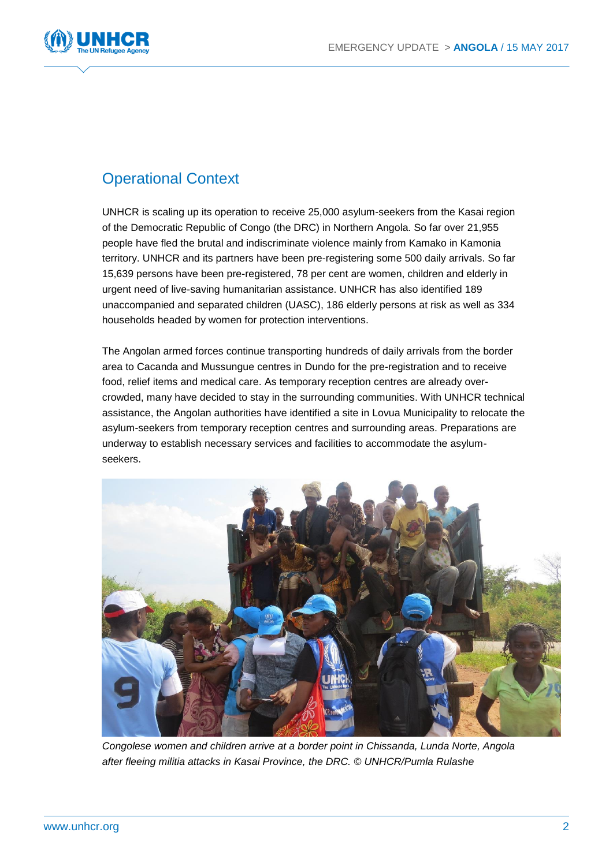

## Operational Context

UNHCR is scaling up its operation to receive 25,000 asylum-seekers from the Kasai region of the Democratic Republic of Congo (the DRC) in Northern Angola. So far over 21,955 people have fled the brutal and indiscriminate violence mainly from Kamako in Kamonia territory. UNHCR and its partners have been pre-registering some 500 daily arrivals. So far 15,639 persons have been pre-registered, 78 per cent are women, children and elderly in urgent need of live-saving humanitarian assistance. UNHCR has also identified 189 unaccompanied and separated children (UASC), 186 elderly persons at risk as well as 334 households headed by women for protection interventions.

The Angolan armed forces continue transporting hundreds of daily arrivals from the border area to Cacanda and Mussungue centres in Dundo for the pre-registration and to receive food, relief items and medical care. As temporary reception centres are already overcrowded, many have decided to stay in the surrounding communities. With UNHCR technical assistance, the Angolan authorities have identified a site in Lovua Municipality to relocate the asylum-seekers from temporary reception centres and surrounding areas. Preparations are underway to establish necessary services and facilities to accommodate the asylumseekers.



*Congolese women and children arrive at a border point in Chissanda, Lunda Norte, Angola after fleeing militia attacks in Kasai Province, the DRC. © UNHCR/Pumla Rulashe*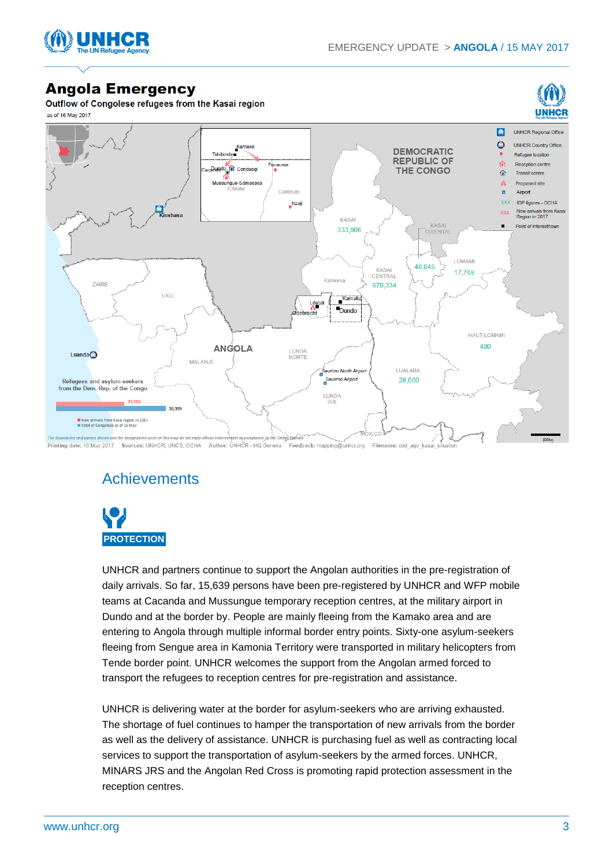



### **Angola Emergency**

Outflow of Congolese refugees from the Kasai region as of 16 May 2017



Printing date: 16 May 2017 Sources: UNHCR, UNCS, OCHA Author: UNHCR - HQ Geneva Feedback: mapping@unhcr.org Filename: cod ago k

## **Achievements**



UNHCR and partners continue to support the Angolan authorities in the pre-registration of daily arrivals. So far, 15,639 persons have been pre-registered by UNHCR and WFP mobile teams at Cacanda and Mussungue temporary reception centres, at the military airport in Dundo and at the border by. People are mainly fleeing from the Kamako area and are entering to Angola through multiple informal border entry points. Sixty-one asylum-seekers fleeing from Sengue area in Kamonia Territory were transported in military helicopters from Tende border point. UNHCR welcomes the support from the Angolan armed forced to transport the refugees to reception centres for pre-registration and assistance.

UNHCR is delivering water at the border for asylum-seekers who are arriving exhausted. The shortage of fuel continues to hamper the transportation of new arrivals from the border as well as the delivery of assistance. UNHCR is purchasing fuel as well as contracting local services to support the transportation of asylum-seekers by the armed forces. UNHCR, MINARS JRS and the Angolan Red Cross is promoting rapid protection assessment in the reception centres.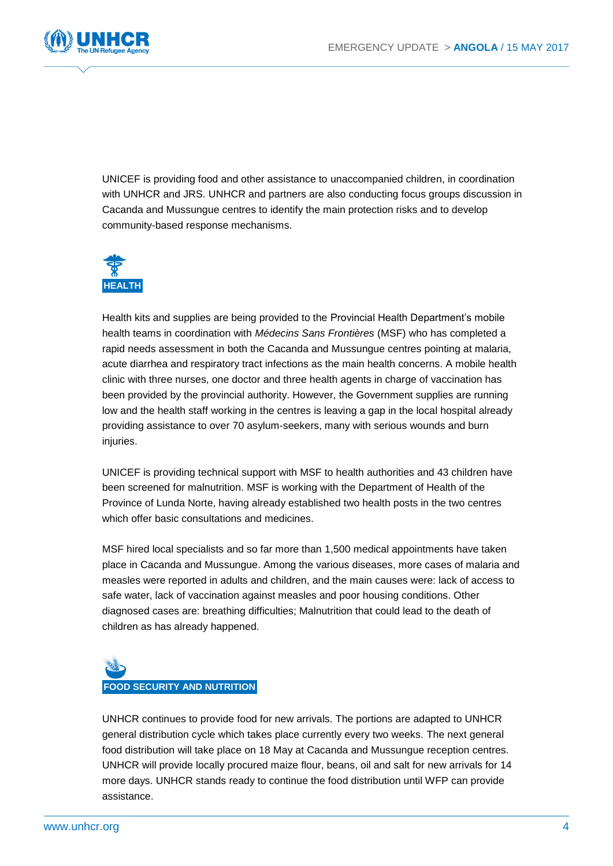

UNICEF is providing food and other assistance to unaccompanied children, in coordination with UNHCR and JRS. UNHCR and partners are also conducting focus groups discussion in Cacanda and Mussungue centres to identify the main protection risks and to develop community-based response mechanisms.



Health kits and supplies are being provided to the Provincial Health Department's mobile health teams in coordination with *Médecins Sans Frontières* (MSF) who has completed a rapid needs assessment in both the Cacanda and Mussungue centres pointing at malaria, acute diarrhea and respiratory tract infections as the main health concerns. A mobile health clinic with three nurses, one doctor and three health agents in charge of vaccination has been provided by the provincial authority. However, the Government supplies are running low and the health staff working in the centres is leaving a gap in the local hospital already providing assistance to over 70 asylum-seekers, many with serious wounds and burn injuries.

UNICEF is providing technical support with MSF to health authorities and 43 children have been screened for malnutrition. MSF is working with the Department of Health of the Province of Lunda Norte, having already established two health posts in the two centres which offer basic consultations and medicines.

MSF hired local specialists and so far more than 1,500 medical appointments have taken place in Cacanda and Mussungue. Among the various diseases, more cases of malaria and measles were reported in adults and children, and the main causes were: lack of access to safe water, lack of vaccination against measles and poor housing conditions. Other diagnosed cases are: breathing difficulties; Malnutrition that could lead to the death of children as has already happened.



UNHCR continues to provide food for new arrivals. The portions are adapted to UNHCR general distribution cycle which takes place currently every two weeks. The next general food distribution will take place on 18 May at Cacanda and Mussungue reception centres. UNHCR will provide locally procured maize flour, beans, oil and salt for new arrivals for 14 more days. UNHCR stands ready to continue the food distribution until WFP can provide assistance.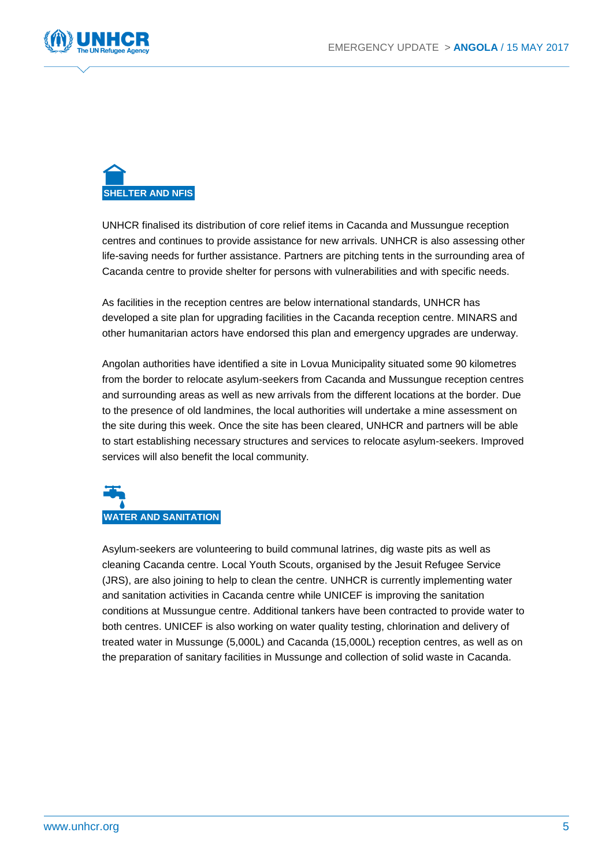



UNHCR finalised its distribution of core relief items in Cacanda and Mussungue reception centres and continues to provide assistance for new arrivals. UNHCR is also assessing other life-saving needs for further assistance. Partners are pitching tents in the surrounding area of Cacanda centre to provide shelter for persons with vulnerabilities and with specific needs.

As facilities in the reception centres are below international standards, UNHCR has developed a site plan for upgrading facilities in the Cacanda reception centre. MINARS and other humanitarian actors have endorsed this plan and emergency upgrades are underway.

Angolan authorities have identified a site in Lovua Municipality situated some 90 kilometres from the border to relocate asylum-seekers from Cacanda and Mussungue reception centres and surrounding areas as well as new arrivals from the different locations at the border. Due to the presence of old landmines, the local authorities will undertake a mine assessment on the site during this week. Once the site has been cleared, UNHCR and partners will be able to start establishing necessary structures and services to relocate asylum-seekers. Improved services will also benefit the local community.

# **WATER AND SANITATION**

Asylum-seekers are volunteering to build communal latrines, dig waste pits as well as cleaning Cacanda centre. Local Youth Scouts, organised by the Jesuit Refugee Service (JRS), are also joining to help to clean the centre. UNHCR is currently implementing water and sanitation activities in Cacanda centre while UNICEF is improving the sanitation conditions at Mussungue centre. Additional tankers have been contracted to provide water to both centres. UNICEF is also working on water quality testing, chlorination and delivery of treated water in Mussunge (5,000L) and Cacanda (15,000L) reception centres, as well as on the preparation of sanitary facilities in Mussunge and collection of solid waste in Cacanda.